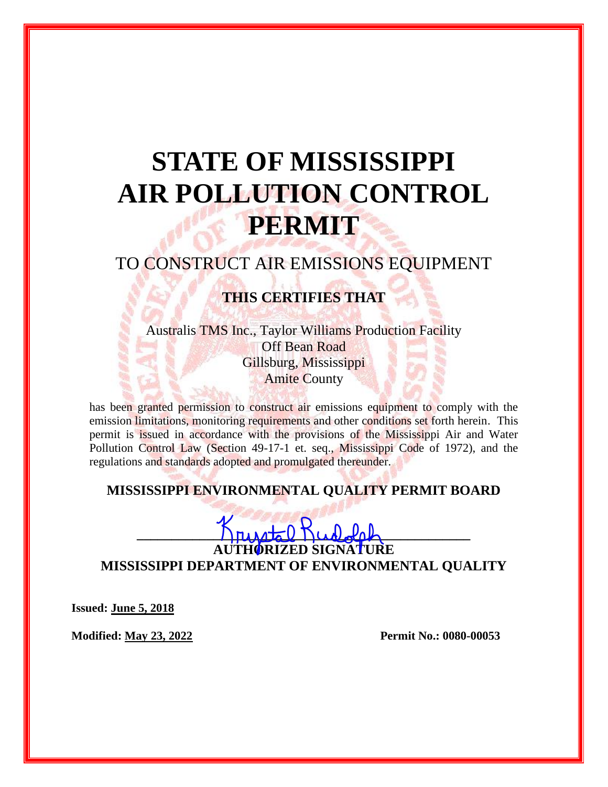# **STATE OF MISSISSIPPI AIR POLLUTION CONTROL PERMIT**

## TO CONSTRUCT AIR EMISSIONS EQUIPMENT

### **THIS CERTIFIES THAT**

Australis TMS Inc., Taylor Williams Production Facility Off Bean Road Gillsburg, Mississippi Amite County

has been granted permission to construct air emissions equipment to comply with the emission limitations, monitoring requirements and other conditions set forth herein. This permit is issued in accordance with the provisions of the Mississippi Air and Water Pollution Control Law (Section 49-17-1 et. seq., Mississippi Code of 1972), and the regulations and standards adopted and promulgated thereunder.

#### **MISSISSIPPI ENVIRONMENTAL QUALITY PERMIT BOARD**

 $\frac{1}{2}$ **IZED SIGNATURE** 

**MISSISSIPPI DEPARTMENT OF ENVIRONMENTAL QUALITY**

**Issued: June 5, 2018**

**Modified: May 23, 2022 Permit No.: 0080-00053**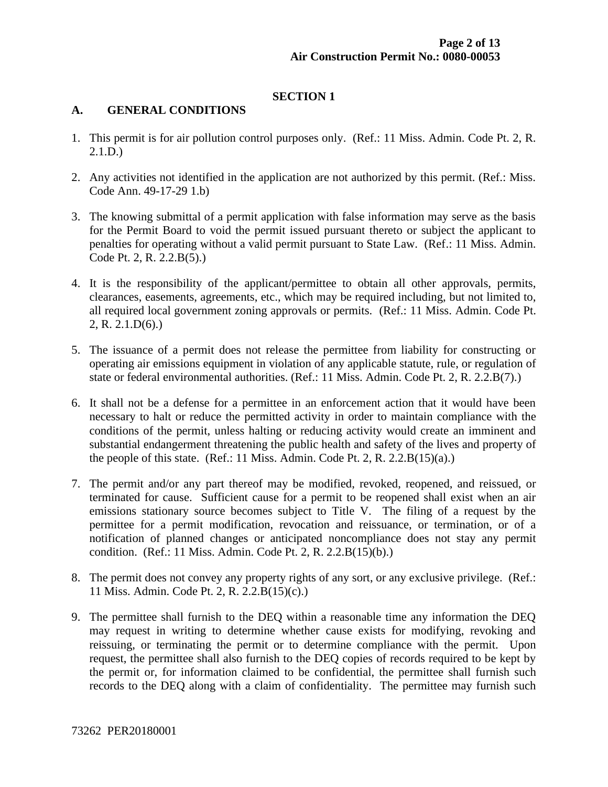#### **SECTION 1**

#### **A. GENERAL CONDITIONS**

- 1. This permit is for air pollution control purposes only. (Ref.: 11 Miss. Admin. Code Pt. 2, R. 2.1.D.)
- 2. Any activities not identified in the application are not authorized by this permit. (Ref.: Miss. Code Ann. 49-17-29 1.b)
- 3. The knowing submittal of a permit application with false information may serve as the basis for the Permit Board to void the permit issued pursuant thereto or subject the applicant to penalties for operating without a valid permit pursuant to State Law. (Ref.: 11 Miss. Admin. Code Pt. 2, R. 2.2.B(5).)
- 4. It is the responsibility of the applicant/permittee to obtain all other approvals, permits, clearances, easements, agreements, etc., which may be required including, but not limited to, all required local government zoning approvals or permits. (Ref.: 11 Miss. Admin. Code Pt. 2, R. 2.1.D(6).)
- 5. The issuance of a permit does not release the permittee from liability for constructing or operating air emissions equipment in violation of any applicable statute, rule, or regulation of state or federal environmental authorities. (Ref.: 11 Miss. Admin. Code Pt. 2, R. 2.2.B(7).)
- 6. It shall not be a defense for a permittee in an enforcement action that it would have been necessary to halt or reduce the permitted activity in order to maintain compliance with the conditions of the permit, unless halting or reducing activity would create an imminent and substantial endangerment threatening the public health and safety of the lives and property of the people of this state. (Ref.: 11 Miss. Admin. Code Pt. 2, R. 2.2. $B(15)(a)$ .)
- 7. The permit and/or any part thereof may be modified, revoked, reopened, and reissued, or terminated for cause. Sufficient cause for a permit to be reopened shall exist when an air emissions stationary source becomes subject to Title V. The filing of a request by the permittee for a permit modification, revocation and reissuance, or termination, or of a notification of planned changes or anticipated noncompliance does not stay any permit condition. (Ref.: 11 Miss. Admin. Code Pt. 2, R. 2.2.B(15)(b).)
- 8. The permit does not convey any property rights of any sort, or any exclusive privilege. (Ref.: 11 Miss. Admin. Code Pt. 2, R. 2.2.B(15)(c).)
- 9. The permittee shall furnish to the DEQ within a reasonable time any information the DEQ may request in writing to determine whether cause exists for modifying, revoking and reissuing, or terminating the permit or to determine compliance with the permit. Upon request, the permittee shall also furnish to the DEQ copies of records required to be kept by the permit or, for information claimed to be confidential, the permittee shall furnish such records to the DEQ along with a claim of confidentiality. The permittee may furnish such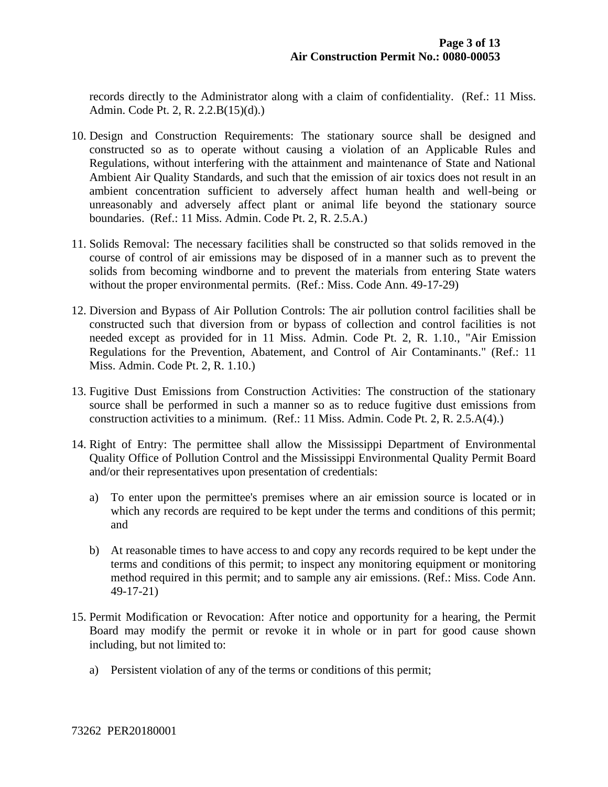records directly to the Administrator along with a claim of confidentiality. (Ref.: 11 Miss. Admin. Code Pt. 2, R. 2.2.B(15)(d).)

- 10. Design and Construction Requirements: The stationary source shall be designed and constructed so as to operate without causing a violation of an Applicable Rules and Regulations, without interfering with the attainment and maintenance of State and National Ambient Air Quality Standards, and such that the emission of air toxics does not result in an ambient concentration sufficient to adversely affect human health and well-being or unreasonably and adversely affect plant or animal life beyond the stationary source boundaries. (Ref.: 11 Miss. Admin. Code Pt. 2, R. 2.5.A.)
- 11. Solids Removal: The necessary facilities shall be constructed so that solids removed in the course of control of air emissions may be disposed of in a manner such as to prevent the solids from becoming windborne and to prevent the materials from entering State waters without the proper environmental permits. (Ref.: Miss. Code Ann. 49-17-29)
- 12. Diversion and Bypass of Air Pollution Controls: The air pollution control facilities shall be constructed such that diversion from or bypass of collection and control facilities is not needed except as provided for in 11 Miss. Admin. Code Pt. 2, R. 1.10., "Air Emission Regulations for the Prevention, Abatement, and Control of Air Contaminants." (Ref.: 11 Miss. Admin. Code Pt. 2, R. 1.10.)
- 13. Fugitive Dust Emissions from Construction Activities: The construction of the stationary source shall be performed in such a manner so as to reduce fugitive dust emissions from construction activities to a minimum. (Ref.: 11 Miss. Admin. Code Pt. 2, R. 2.5.A(4).)
- 14. Right of Entry: The permittee shall allow the Mississippi Department of Environmental Quality Office of Pollution Control and the Mississippi Environmental Quality Permit Board and/or their representatives upon presentation of credentials:
	- a) To enter upon the permittee's premises where an air emission source is located or in which any records are required to be kept under the terms and conditions of this permit; and
	- b) At reasonable times to have access to and copy any records required to be kept under the terms and conditions of this permit; to inspect any monitoring equipment or monitoring method required in this permit; and to sample any air emissions. (Ref.: Miss. Code Ann. 49-17-21)
- 15. Permit Modification or Revocation: After notice and opportunity for a hearing, the Permit Board may modify the permit or revoke it in whole or in part for good cause shown including, but not limited to:
	- a) Persistent violation of any of the terms or conditions of this permit;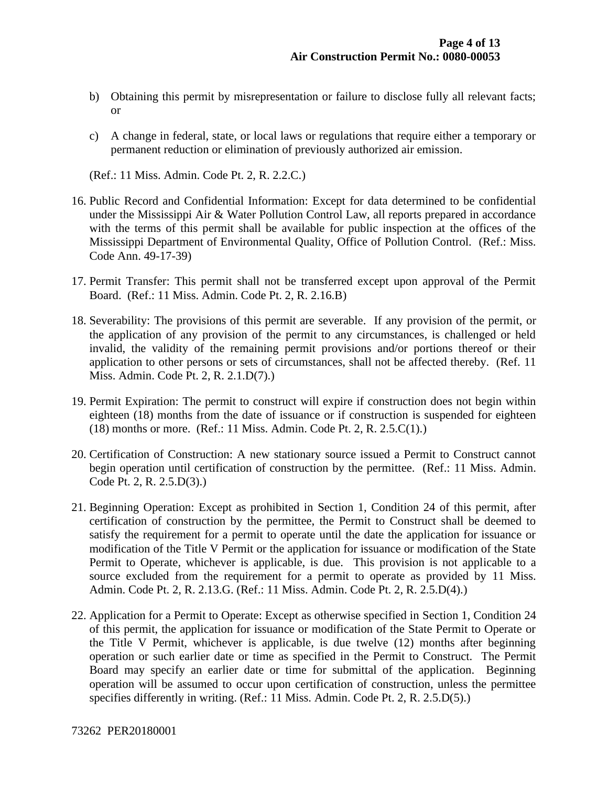- b) Obtaining this permit by misrepresentation or failure to disclose fully all relevant facts; or
- c) A change in federal, state, or local laws or regulations that require either a temporary or permanent reduction or elimination of previously authorized air emission.

(Ref.: 11 Miss. Admin. Code Pt. 2, R. 2.2.C.)

- 16. Public Record and Confidential Information: Except for data determined to be confidential under the Mississippi Air & Water Pollution Control Law, all reports prepared in accordance with the terms of this permit shall be available for public inspection at the offices of the Mississippi Department of Environmental Quality, Office of Pollution Control. (Ref.: Miss. Code Ann. 49-17-39)
- 17. Permit Transfer: This permit shall not be transferred except upon approval of the Permit Board. (Ref.: 11 Miss. Admin. Code Pt. 2, R. 2.16.B)
- 18. Severability: The provisions of this permit are severable. If any provision of the permit, or the application of any provision of the permit to any circumstances, is challenged or held invalid, the validity of the remaining permit provisions and/or portions thereof or their application to other persons or sets of circumstances, shall not be affected thereby. (Ref. 11 Miss. Admin. Code Pt. 2, R. 2.1.D(7).)
- 19. Permit Expiration: The permit to construct will expire if construction does not begin within eighteen (18) months from the date of issuance or if construction is suspended for eighteen (18) months or more. (Ref.: 11 Miss. Admin. Code Pt. 2, R. 2.5.C(1).)
- 20. Certification of Construction: A new stationary source issued a Permit to Construct cannot begin operation until certification of construction by the permittee. (Ref.: 11 Miss. Admin. Code Pt. 2, R. 2.5.D(3).)
- 21. Beginning Operation: Except as prohibited in Section 1, Condition 24 of this permit, after certification of construction by the permittee, the Permit to Construct shall be deemed to satisfy the requirement for a permit to operate until the date the application for issuance or modification of the Title V Permit or the application for issuance or modification of the State Permit to Operate, whichever is applicable, is due. This provision is not applicable to a source excluded from the requirement for a permit to operate as provided by 11 Miss. Admin. Code Pt. 2, R. 2.13.G. (Ref.: 11 Miss. Admin. Code Pt. 2, R. 2.5.D(4).)
- 22. Application for a Permit to Operate: Except as otherwise specified in Section 1, Condition 24 of this permit, the application for issuance or modification of the State Permit to Operate or the Title V Permit, whichever is applicable, is due twelve (12) months after beginning operation or such earlier date or time as specified in the Permit to Construct. The Permit Board may specify an earlier date or time for submittal of the application. Beginning operation will be assumed to occur upon certification of construction, unless the permittee specifies differently in writing. (Ref.: 11 Miss. Admin. Code Pt. 2, R. 2.5.D(5).)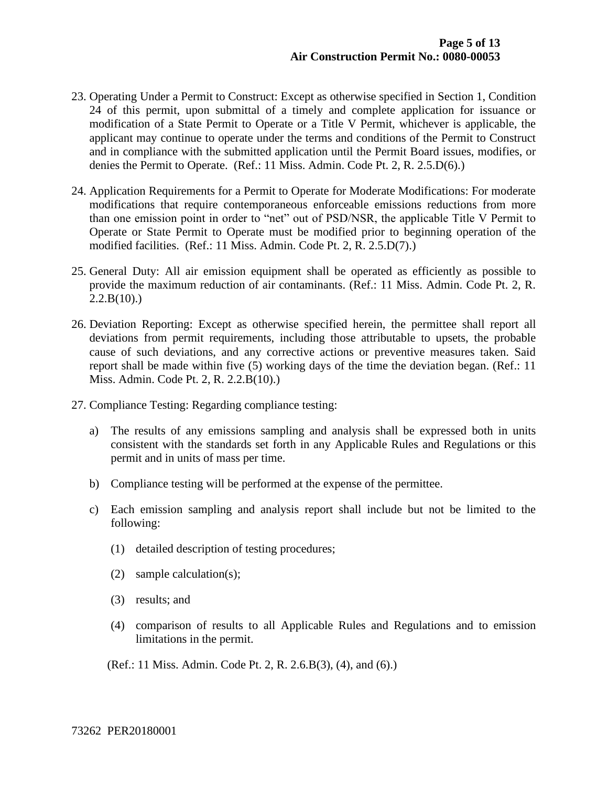- 23. Operating Under a Permit to Construct: Except as otherwise specified in Section 1, Condition 24 of this permit, upon submittal of a timely and complete application for issuance or modification of a State Permit to Operate or a Title V Permit, whichever is applicable, the applicant may continue to operate under the terms and conditions of the Permit to Construct and in compliance with the submitted application until the Permit Board issues, modifies, or denies the Permit to Operate. (Ref.: 11 Miss. Admin. Code Pt. 2, R. 2.5.D(6).)
- 24. Application Requirements for a Permit to Operate for Moderate Modifications: For moderate modifications that require contemporaneous enforceable emissions reductions from more than one emission point in order to "net" out of PSD/NSR, the applicable Title V Permit to Operate or State Permit to Operate must be modified prior to beginning operation of the modified facilities. (Ref.: 11 Miss. Admin. Code Pt. 2, R. 2.5.D(7).)
- 25. General Duty: All air emission equipment shall be operated as efficiently as possible to provide the maximum reduction of air contaminants. (Ref.: 11 Miss. Admin. Code Pt. 2, R.  $2.2.B(10)$ .
- 26. Deviation Reporting: Except as otherwise specified herein, the permittee shall report all deviations from permit requirements, including those attributable to upsets, the probable cause of such deviations, and any corrective actions or preventive measures taken. Said report shall be made within five (5) working days of the time the deviation began. (Ref.: 11 Miss. Admin. Code Pt. 2, R. 2.2.B(10).)
- 27. Compliance Testing: Regarding compliance testing:
	- a) The results of any emissions sampling and analysis shall be expressed both in units consistent with the standards set forth in any Applicable Rules and Regulations or this permit and in units of mass per time.
	- b) Compliance testing will be performed at the expense of the permittee.
	- c) Each emission sampling and analysis report shall include but not be limited to the following:
		- (1) detailed description of testing procedures;
		- (2) sample calculation(s);
		- (3) results; and
		- (4) comparison of results to all Applicable Rules and Regulations and to emission limitations in the permit.

(Ref.: 11 Miss. Admin. Code Pt. 2, R. 2.6.B(3), (4), and (6).)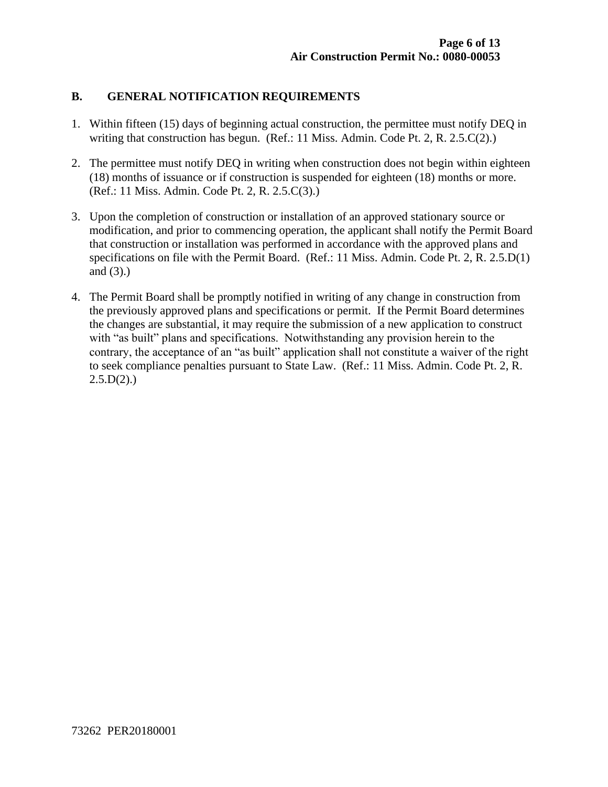#### **B. GENERAL NOTIFICATION REQUIREMENTS**

- 1. Within fifteen (15) days of beginning actual construction, the permittee must notify DEQ in writing that construction has begun. (Ref.: 11 Miss. Admin. Code Pt. 2, R. 2.5.C(2).)
- 2. The permittee must notify DEQ in writing when construction does not begin within eighteen (18) months of issuance or if construction is suspended for eighteen (18) months or more. (Ref.: 11 Miss. Admin. Code Pt. 2, R. 2.5.C(3).)
- 3. Upon the completion of construction or installation of an approved stationary source or modification, and prior to commencing operation, the applicant shall notify the Permit Board that construction or installation was performed in accordance with the approved plans and specifications on file with the Permit Board. (Ref.: 11 Miss. Admin. Code Pt. 2, R. 2.5.D(1) and (3).)
- 4. The Permit Board shall be promptly notified in writing of any change in construction from the previously approved plans and specifications or permit. If the Permit Board determines the changes are substantial, it may require the submission of a new application to construct with "as built" plans and specifications. Notwithstanding any provision herein to the contrary, the acceptance of an "as built" application shall not constitute a waiver of the right to seek compliance penalties pursuant to State Law. (Ref.: 11 Miss. Admin. Code Pt. 2, R.  $2.5.D(2)$ .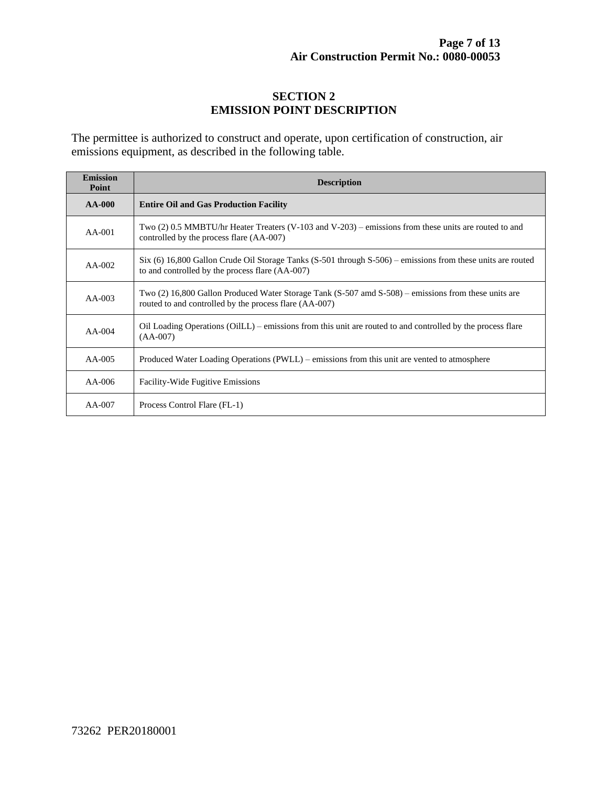#### **SECTION 2 EMISSION POINT DESCRIPTION**

The permittee is authorized to construct and operate, upon certification of construction, air emissions equipment, as described in the following table.

| <b>Emission</b><br>Point | <b>Description</b>                                                                                                                                             |  |  |
|--------------------------|----------------------------------------------------------------------------------------------------------------------------------------------------------------|--|--|
| $AA-000$                 | <b>Entire Oil and Gas Production Facility</b>                                                                                                                  |  |  |
| $AA-001$                 | Two (2) 0.5 MMBTU/hr Heater Treaters (V-103 and V-203) – emissions from these units are routed to and<br>controlled by the process flare (AA-007)              |  |  |
| $AA-002$                 | Six (6) 16,800 Gallon Crude Oil Storage Tanks (S-501 through S-506) – emissions from these units are routed<br>to and controlled by the process flare (AA-007) |  |  |
| $AA-003$                 | Two (2) 16,800 Gallon Produced Water Storage Tank (S-507 amd S-508) – emissions from these units are<br>routed to and controlled by the process flare (AA-007) |  |  |
| $AA-004$                 | Oil Loading Operations (OilLL) – emissions from this unit are routed to and controlled by the process flare<br>$(AA-007)$                                      |  |  |
| $AA-005$                 | Produced Water Loading Operations (PWLL) – emissions from this unit are vented to atmosphere                                                                   |  |  |
| $AA-006$                 | <b>Facility-Wide Fugitive Emissions</b>                                                                                                                        |  |  |
| $AA-007$                 | Process Control Flare (FL-1)                                                                                                                                   |  |  |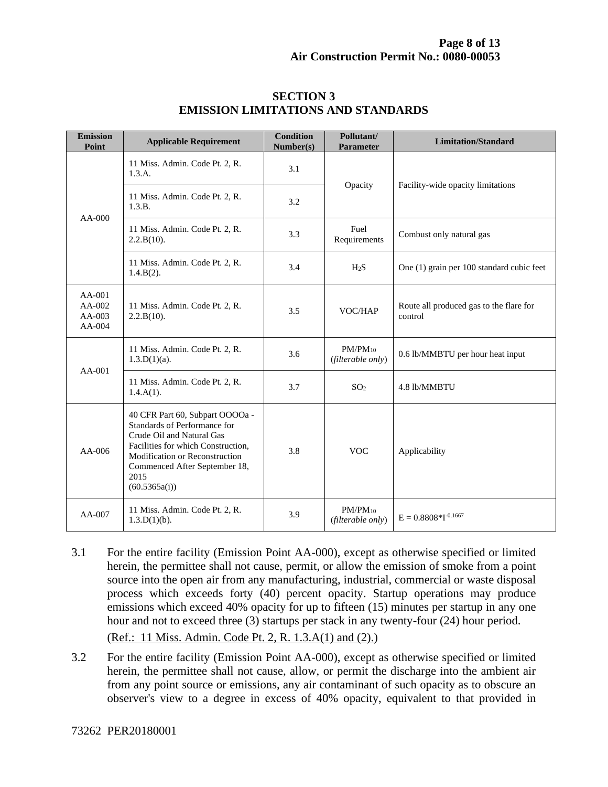| <b>Emission</b><br>Point                 | <b>Applicable Requirement</b>                                                                                                                                                                                                  | <b>Condition</b><br>Number(s) | Pollutant/<br><b>Parameter</b>    | <b>Limitation/Standard</b>                         |
|------------------------------------------|--------------------------------------------------------------------------------------------------------------------------------------------------------------------------------------------------------------------------------|-------------------------------|-----------------------------------|----------------------------------------------------|
| $AA-000$                                 | 11 Miss. Admin. Code Pt. 2, R.<br>1.3.A.                                                                                                                                                                                       | 3.1                           | Opacity                           | Facility-wide opacity limitations                  |
|                                          | 11 Miss. Admin. Code Pt. 2, R.<br>1.3.B.                                                                                                                                                                                       | 3.2                           |                                   |                                                    |
|                                          | 11 Miss. Admin. Code Pt. 2, R.<br>2.2.B(10).                                                                                                                                                                                   | 3.3                           | Fuel<br>Requirements              | Combust only natural gas                           |
|                                          | 11 Miss. Admin. Code Pt. 2, R.<br>$1.4.B(2)$ .                                                                                                                                                                                 | 3.4                           | H <sub>2</sub> S                  | One (1) grain per 100 standard cubic feet          |
| AA-001<br>$AA-002$<br>AA-003<br>$AA-004$ | 11 Miss. Admin. Code Pt. 2, R.<br>2.2.B(10).                                                                                                                                                                                   | 3.5                           | VOC/HAP                           | Route all produced gas to the flare for<br>control |
| $AA-001$                                 | 11 Miss. Admin. Code Pt. 2, R.<br>$1.3.D(1)(a)$ .                                                                                                                                                                              | 3.6                           | $PM/PM_{10}$<br>(filterable only) | 0.6 lb/MMBTU per hour heat input                   |
|                                          | 11 Miss. Admin. Code Pt. 2, R.<br>$1.4.A(1)$ .                                                                                                                                                                                 | 3.7                           | SO <sub>2</sub>                   | 4.8 lb/MMBTU                                       |
| $AA-006$                                 | 40 CFR Part 60, Subpart OOOOa -<br>Standards of Performance for<br>Crude Oil and Natural Gas<br>Facilities for which Construction,<br>Modification or Reconstruction<br>Commenced After September 18,<br>2015<br>(60.5365a(i)) | 3.8                           | <b>VOC</b>                        | Applicability                                      |
| AA-007                                   | 11 Miss. Admin. Code Pt. 2, R.<br>$1.3.D(1)(b)$ .                                                                                                                                                                              | 3.9                           | $PM/PM_{10}$<br>(filterable only) | $E = 0.8808 * I^{-0.1667}$                         |

#### **SECTION 3 EMISSION LIMITATIONS AND STANDARDS**

3.1 For the entire facility (Emission Point AA-000), except as otherwise specified or limited herein, the permittee shall not cause, permit, or allow the emission of smoke from a point source into the open air from any manufacturing, industrial, commercial or waste disposal process which exceeds forty (40) percent opacity. Startup operations may produce emissions which exceed 40% opacity for up to fifteen (15) minutes per startup in any one hour and not to exceed three (3) startups per stack in any twenty-four (24) hour period.

(Ref.: 11 Miss. Admin. Code Pt. 2, R. 1.3.A(1) and (2).)

3.2 For the entire facility (Emission Point AA-000), except as otherwise specified or limited herein, the permittee shall not cause, allow, or permit the discharge into the ambient air from any point source or emissions, any air contaminant of such opacity as to obscure an observer's view to a degree in excess of 40% opacity, equivalent to that provided in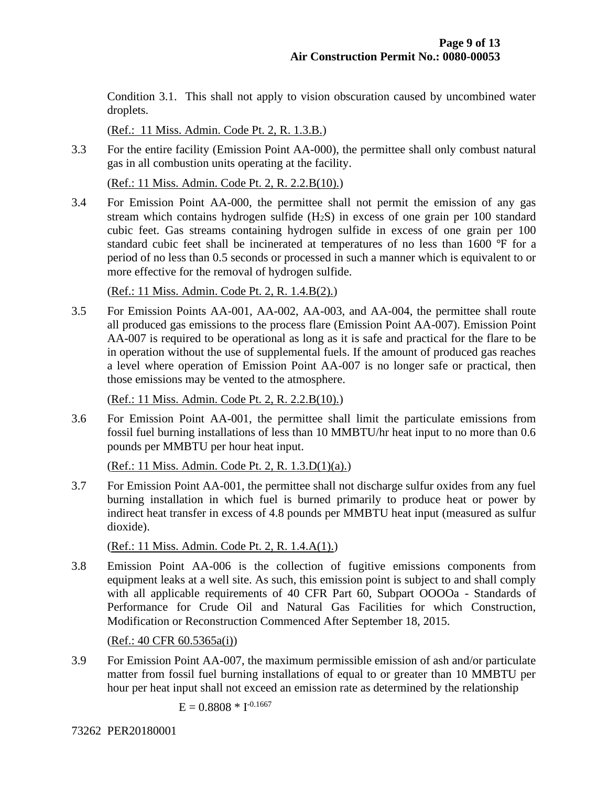Condition 3.1. This shall not apply to vision obscuration caused by uncombined water droplets.

(Ref.: 11 Miss. Admin. Code Pt. 2, R. 1.3.B.)

3.3 For the entire facility (Emission Point AA-000), the permittee shall only combust natural gas in all combustion units operating at the facility.

(Ref.: 11 Miss. Admin. Code Pt. 2, R. 2.2.B(10).)

3.4 For Emission Point AA-000, the permittee shall not permit the emission of any gas stream which contains hydrogen sulfide  $(H<sub>2</sub>S)$  in excess of one grain per 100 standard cubic feet. Gas streams containing hydrogen sulfide in excess of one grain per 100 standard cubic feet shall be incinerated at temperatures of no less than 1600 °F for a period of no less than 0.5 seconds or processed in such a manner which is equivalent to or more effective for the removal of hydrogen sulfide.

(Ref.: 11 Miss. Admin. Code Pt. 2, R. 1.4.B(2).)

3.5 For Emission Points AA-001, AA-002, AA-003, and AA-004, the permittee shall route all produced gas emissions to the process flare (Emission Point AA-007). Emission Point AA-007 is required to be operational as long as it is safe and practical for the flare to be in operation without the use of supplemental fuels. If the amount of produced gas reaches a level where operation of Emission Point AA-007 is no longer safe or practical, then those emissions may be vented to the atmosphere.

(Ref.: 11 Miss. Admin. Code Pt. 2, R. 2.2.B(10).)

3.6 For Emission Point AA-001, the permittee shall limit the particulate emissions from fossil fuel burning installations of less than 10 MMBTU/hr heat input to no more than 0.6 pounds per MMBTU per hour heat input.

(Ref.: 11 Miss. Admin. Code Pt. 2, R. 1.3.D(1)(a).)

3.7 For Emission Point AA-001, the permittee shall not discharge sulfur oxides from any fuel burning installation in which fuel is burned primarily to produce heat or power by indirect heat transfer in excess of 4.8 pounds per MMBTU heat input (measured as sulfur dioxide).

(Ref.: 11 Miss. Admin. Code Pt. 2, R. 1.4.A(1).)

3.8 Emission Point AA-006 is the collection of fugitive emissions components from equipment leaks at a well site. As such, this emission point is subject to and shall comply with all applicable requirements of 40 CFR Part 60, Subpart OOOOa - Standards of Performance for Crude Oil and Natural Gas Facilities for which Construction, Modification or Reconstruction Commenced After September 18, 2015.

(Ref.: 40 CFR 60.5365a(i))

3.9 For Emission Point AA-007, the maximum permissible emission of ash and/or particulate matter from fossil fuel burning installations of equal to or greater than 10 MMBTU per hour per heat input shall not exceed an emission rate as determined by the relationship

$$
E=0.8808\,*\,I^{*0.1667}
$$

73262 PER20180001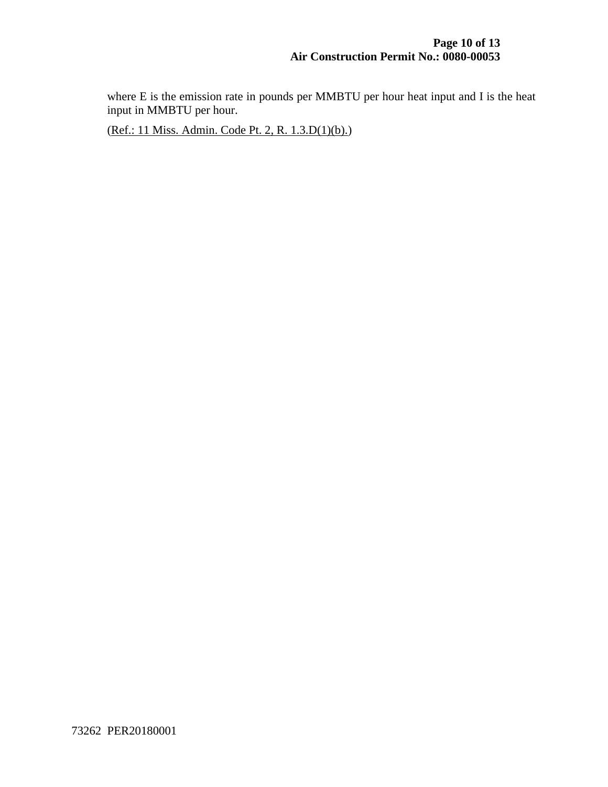where E is the emission rate in pounds per MMBTU per hour heat input and I is the heat input in MMBTU per hour.

(Ref.: 11 Miss. Admin. Code Pt. 2, R. 1.3.D(1)(b).)

73262 PER20180001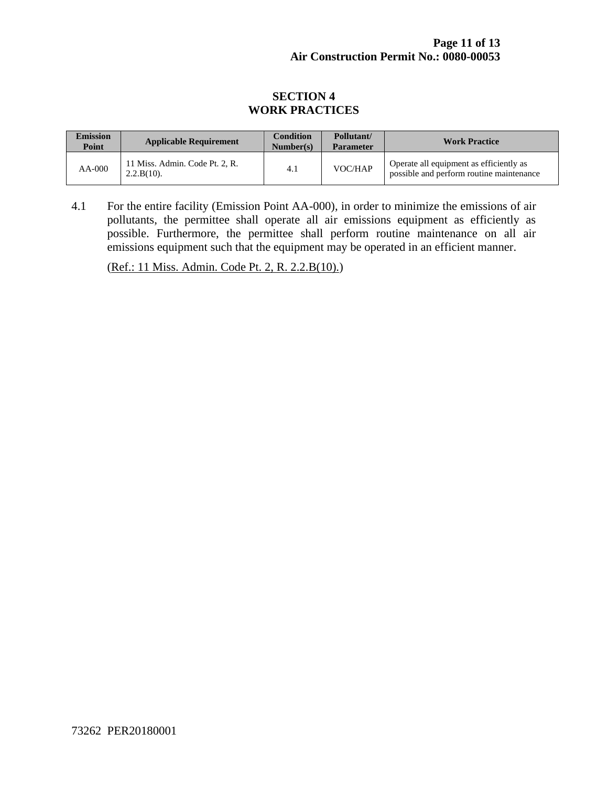#### **SECTION 4 WORK PRACTICES**

| <b>Emission</b><br>Point | <b>Applicable Requirement</b>                   | <b>Condition</b><br>Number(s) | Pollutant/<br><b>Parameter</b> | <b>Work Practice</b>                                                                |
|--------------------------|-------------------------------------------------|-------------------------------|--------------------------------|-------------------------------------------------------------------------------------|
| $AA-000$                 | 11 Miss. Admin. Code Pt. 2. R.<br>$2.2.B(10)$ . | 4.1                           | VOC/HAP                        | Operate all equipment as efficiently as<br>possible and perform routine maintenance |

4.1 For the entire facility (Emission Point AA-000), in order to minimize the emissions of air pollutants, the permittee shall operate all air emissions equipment as efficiently as possible. Furthermore, the permittee shall perform routine maintenance on all air emissions equipment such that the equipment may be operated in an efficient manner.

(Ref.: 11 Miss. Admin. Code Pt. 2, R. 2.2.B(10).)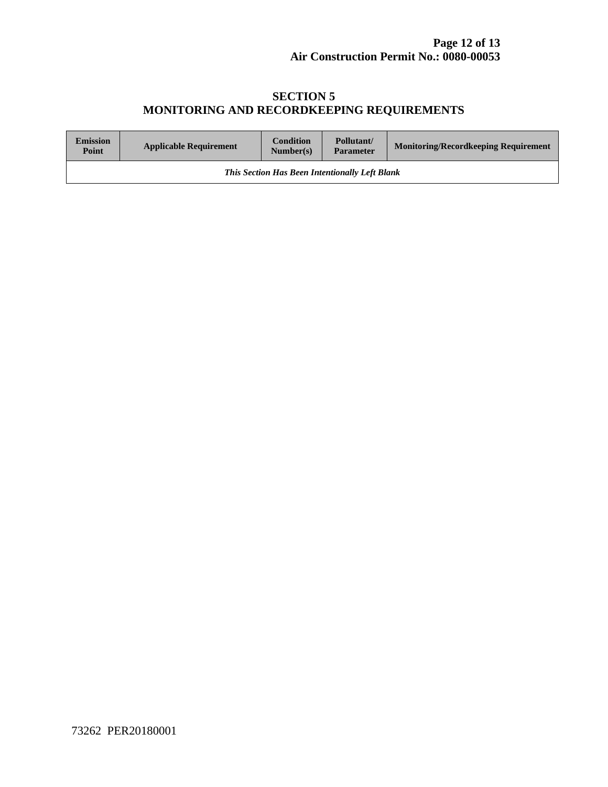#### **SECTION 5 MONITORING AND RECORDKEEPING REQUIREMENTS**

| <b>Emission</b><br>Point                              | <b>Applicable Requirement</b> | <b>Condition</b><br>Number(s) | Pollutant/<br><b>Parameter</b> | <b>Monitoring/Recordkeeping Requirement</b> |
|-------------------------------------------------------|-------------------------------|-------------------------------|--------------------------------|---------------------------------------------|
| <b>This Section Has Been Intentionally Left Blank</b> |                               |                               |                                |                                             |